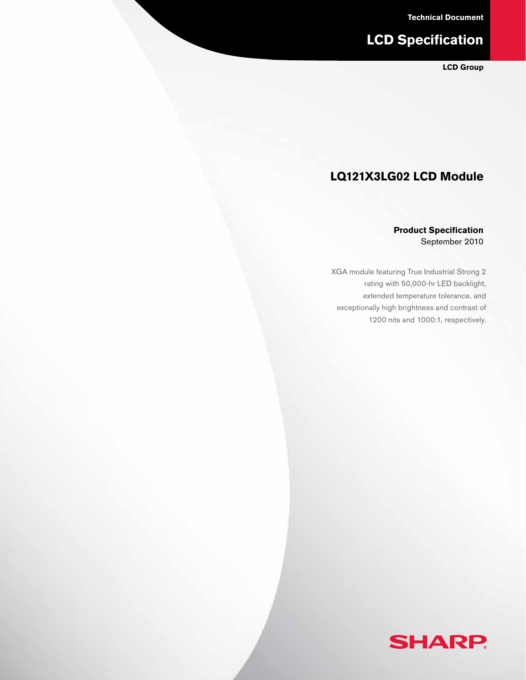**Technical Document**

# **LCD Specification**

**LCD Group**

## **LQ121X3LG02 LCD Module**

#### **Product Specification** September 2010

XGA module featuring True Industrial Strong 2 rating with 50,000-hr LED backlight, extended temperature tolerance, and exceptionally high brightness and contrast of 1200 nits and 1000:1, respectively.

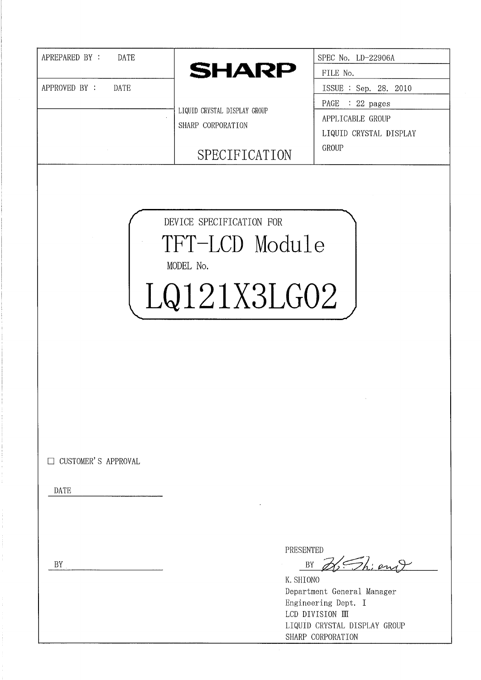| APREPARED BY :<br>DATE       | <b>SHARP</b>                                                           | SPEC No. LD-22906A                         |
|------------------------------|------------------------------------------------------------------------|--------------------------------------------|
|                              |                                                                        | FILE No.                                   |
| APPROVED BY :<br><b>DATE</b> |                                                                        | ISSUE : Sep. 28. 2010                      |
|                              | LIQUID CRYSTAL DISPLAY GROUP                                           | PAGE : 22 pages                            |
|                              | SHARP CORPORATION                                                      | APPLICABLE GROUP<br>LIQUID CRYSTAL DISPLAY |
|                              | SPECIFICATION                                                          | GROUP                                      |
|                              | DEVICE SPECIFICATION FOR<br>TFT-LCD Module<br>MODEL No.<br>LQ121X3LG02 |                                            |
| □ CUSTOMER'S APPROVAL        |                                                                        |                                            |
| <b>DATE</b>                  |                                                                        |                                            |
|                              |                                                                        |                                            |
|                              |                                                                        |                                            |
|                              |                                                                        | PRESENTED                                  |
| BY                           |                                                                        | BY                                         |
|                              |                                                                        | Fhiang<br>K. SHIONO                        |
|                              |                                                                        | Department General Manager                 |
|                              |                                                                        | Engineering Dept. I<br>LCD DIVISION III    |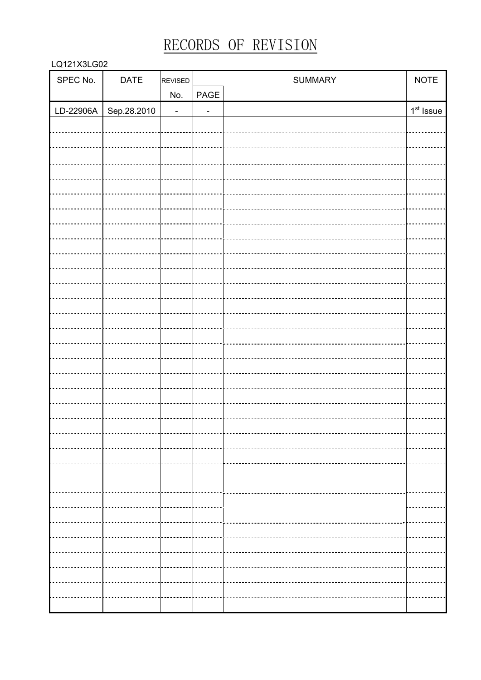# RECORDS OF REVISION

#### LQ121X3LG02

| SPEC No.  | DATE        | REVISED        |                              | SUMMARY | <b>NOTE</b> |
|-----------|-------------|----------------|------------------------------|---------|-------------|
|           |             | No.            | $\ensuremath{\mathsf{PAGE}}$ |         |             |
| LD-22906A | Sep.28.2010 | $\blacksquare$ | $\overline{\phantom{0}}$     |         | $1st$ Issue |
|           |             |                |                              |         |             |
|           |             |                |                              |         |             |
|           |             |                |                              |         |             |
|           |             |                |                              |         |             |
|           |             |                |                              |         |             |
|           |             |                |                              |         |             |
|           |             |                |                              |         |             |
|           |             |                |                              |         |             |
|           |             |                |                              |         |             |
|           |             |                |                              |         |             |
|           |             |                |                              |         |             |
|           |             |                |                              |         |             |
|           |             |                |                              |         |             |
|           |             |                |                              |         |             |
|           |             |                |                              |         |             |
|           |             |                |                              |         |             |
|           |             |                |                              |         |             |
|           |             |                |                              |         |             |
|           |             |                |                              |         |             |
|           |             |                |                              |         |             |
|           |             |                |                              |         |             |
|           |             |                |                              |         |             |
|           |             |                |                              |         |             |
|           |             |                |                              |         |             |
|           |             |                |                              |         |             |
|           |             |                |                              |         |             |
|           |             |                |                              |         |             |
|           |             |                |                              |         |             |
|           |             |                |                              |         |             |
|           |             |                |                              |         |             |
|           |             |                |                              |         |             |
|           |             |                |                              |         |             |
|           |             |                |                              |         |             |
|           |             |                |                              |         |             |
|           |             |                |                              |         |             |
|           |             |                |                              |         |             |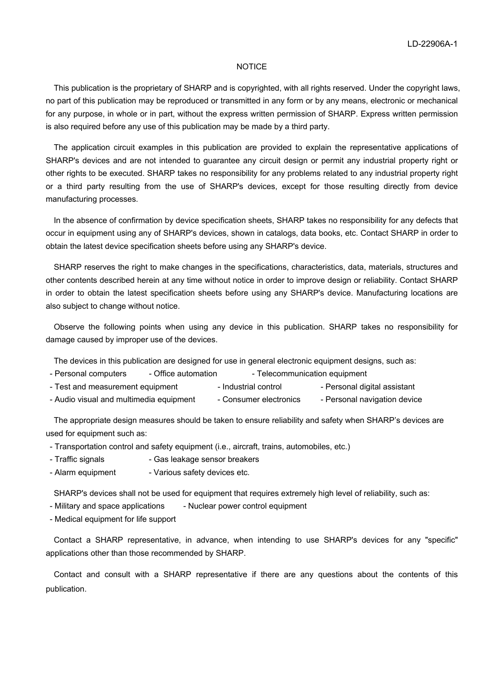#### **NOTICE**

 This publication is the proprietary of SHARP and is copyrighted, with all rights reserved. Under the copyright laws, no part of this publication may be reproduced or transmitted in any form or by any means, electronic or mechanical for any purpose, in whole or in part, without the express written permission of SHARP. Express written permission is also required before any use of this publication may be made by a third party.

 The application circuit examples in this publication are provided to explain the representative applications of SHARP's devices and are not intended to guarantee any circuit design or permit any industrial property right or other rights to be executed. SHARP takes no responsibility for any problems related to any industrial property right or a third party resulting from the use of SHARP's devices, except for those resulting directly from device manufacturing processes.

 In the absence of confirmation by device specification sheets, SHARP takes no responsibility for any defects that occur in equipment using any of SHARP's devices, shown in catalogs, data books, etc. Contact SHARP in order to obtain the latest device specification sheets before using any SHARP's device.

 SHARP reserves the right to make changes in the specifications, characteristics, data, materials, structures and other contents described herein at any time without notice in order to improve design or reliability. Contact SHARP in order to obtain the latest specification sheets before using any SHARP's device. Manufacturing locations are also subject to change without notice.

 Observe the following points when using any device in this publication. SHARP takes no responsibility for damage caused by improper use of the devices.

The devices in this publication are designed for use in general electronic equipment designs, such as:

- Personal computers Office automation Telecommunication equipment
- Test and measurement equipment Industrial control Personal digital assistant
- Audio visual and multimedia equipment Consumer electronics Personal navigation device

 The appropriate design measures should be taken to ensure reliability and safety when SHARP's devices are used for equipment such as:

- Transportation control and safety equipment (i.e., aircraft, trains, automobiles, etc.)
- Traffic signals Gas leakage sensor breakers
- Alarm equipment Various safety devices etc.

SHARP's devices shall not be used for equipment that requires extremely high level of reliability, such as:

- Military and space applications Nuclear power control equipment
- Medical equipment for life support

 Contact a SHARP representative, in advance, when intending to use SHARP's devices for any "specific" applications other than those recommended by SHARP.

 Contact and consult with a SHARP representative if there are any questions about the contents of this publication.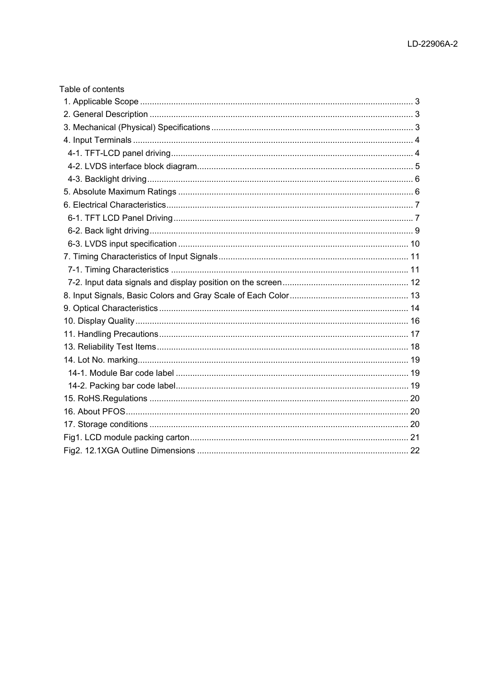| Table of contents |  |
|-------------------|--|
|                   |  |
|                   |  |
|                   |  |
|                   |  |
|                   |  |
|                   |  |
|                   |  |
|                   |  |
|                   |  |
|                   |  |
|                   |  |
|                   |  |
|                   |  |
|                   |  |
|                   |  |
|                   |  |
|                   |  |
|                   |  |
|                   |  |
|                   |  |
|                   |  |
|                   |  |
|                   |  |
|                   |  |
|                   |  |
|                   |  |
|                   |  |
|                   |  |
|                   |  |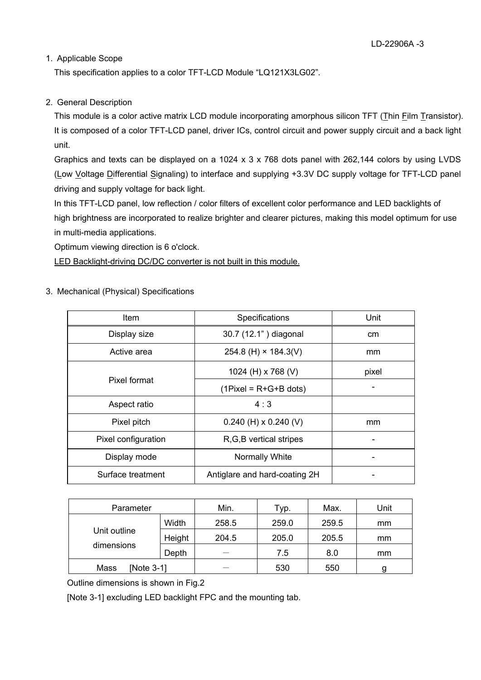## 1. Applicable Scope

This specification applies to a color TFT-LCD Module "LQ121X3LG02".

## 2. General Description

This module is a color active matrix LCD module incorporating amorphous silicon TFT (Thin Film Transistor). It is composed of a color TFT-LCD panel, driver ICs, control circuit and power supply circuit and a back light unit.

Graphics and texts can be displayed on a 1024 x 3 x 768 dots panel with 262,144 colors by using LVDS (Low Voltage Differential Signaling) to interface and supplying +3.3V DC supply voltage for TFT-LCD panel driving and supply voltage for back light.

In this TFT-LCD panel, low reflection / color filters of excellent color performance and LED backlights of high brightness are incorporated to realize brighter and clearer pictures, making this model optimum for use in multi-media applications.

Optimum viewing direction is 6 o'clock.

LED Backlight-driving DC/DC converter is not built in this module.

3. Mechanical (Physical) Specifications

| Item                | Specifications                | Unit  |
|---------------------|-------------------------------|-------|
| Display size        | 30.7 (12.1") diagonal         | cm    |
| Active area         | 254.8 (H) $\times$ 184.3(V)   | mm    |
|                     | 1024 (H) x 768 (V)            | pixel |
| Pixel format        | $(1$ Pixel = R+G+B dots)      |       |
| Aspect ratio        | 4:3                           |       |
| Pixel pitch         | $0.240$ (H) x 0.240 (V)       | mm    |
| Pixel configuration | R, G, B vertical stripes      |       |
| Display mode        | Normally White                |       |
| Surface treatment   | Antiglare and hard-coating 2H |       |

| Parameter                  |        | Min.  | Typ.  | Max.  | Unit          |
|----------------------------|--------|-------|-------|-------|---------------|
| Unit outline<br>dimensions | Width  | 258.5 | 259.0 | 259.5 | <sub>mm</sub> |
|                            | Height | 204.5 | 205.0 | 205.5 | mm            |
|                            | Depth  |       | 7.5   | 8.0   | mm            |
| Mass<br>[Note 3-1]         |        |       | 530   | 550   | g             |

Outline dimensions is shown in Fig.2

[Note 3-1] excluding LED backlight FPC and the mounting tab.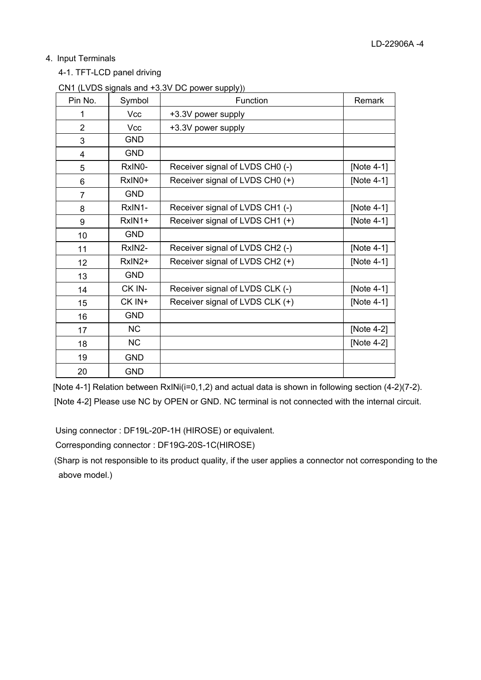## 4. Input Terminals

4-1. TFT-LCD panel driving

| Pin No.        | Symbol     | <b>Function</b>                 | Remark     |
|----------------|------------|---------------------------------|------------|
| 1              | Vcc        | +3.3V power supply              |            |
| $\overline{2}$ | Vcc        | +3.3V power supply              |            |
| 3              | <b>GND</b> |                                 |            |
| 4              | <b>GND</b> |                                 |            |
| 5              | RxIN0-     | Receiver signal of LVDS CH0 (-) | [Note 4-1] |
| 6              | RxIN0+     | Receiver signal of LVDS CH0 (+) | [Note 4-1] |
| $\overline{7}$ | <b>GND</b> |                                 |            |
| 8              | RxIN1-     | Receiver signal of LVDS CH1 (-) | [Note 4-1] |
| 9              | RxIN1+     | Receiver signal of LVDS CH1 (+) | [Note 4-1] |
| 10             | <b>GND</b> |                                 |            |
| 11             | RxIN2-     | Receiver signal of LVDS CH2 (-) | [Note 4-1] |
| 12             | RxIN2+     | Receiver signal of LVDS CH2 (+) | [Note 4-1] |
| 13             | <b>GND</b> |                                 |            |
| 14             | CK IN-     | Receiver signal of LVDS CLK (-) | [Note 4-1] |
| 15             | CK IN+     | Receiver signal of LVDS CLK (+) | [Note 4-1] |
| 16             | <b>GND</b> |                                 |            |
| 17             | <b>NC</b>  |                                 | [Note 4-2] |
| 18             | <b>NC</b>  |                                 | [Note 4-2] |
| 19             | <b>GND</b> |                                 |            |
| 20             | <b>GND</b> |                                 |            |

[Note 4-1] Relation between RxINi(i=0,1,2) and actual data is shown in following section (4-2)(7-2). [Note 4-2] Please use NC by OPEN or GND. NC terminal is not connected with the internal circuit.

Using connector : DF19L-20P-1H (HIROSE) or equivalent.

Corresponding connector : DF19G-20S-1C(HIROSE)

(Sharp is not responsible to its product quality, if the user applies a connector not corresponding to the above model.)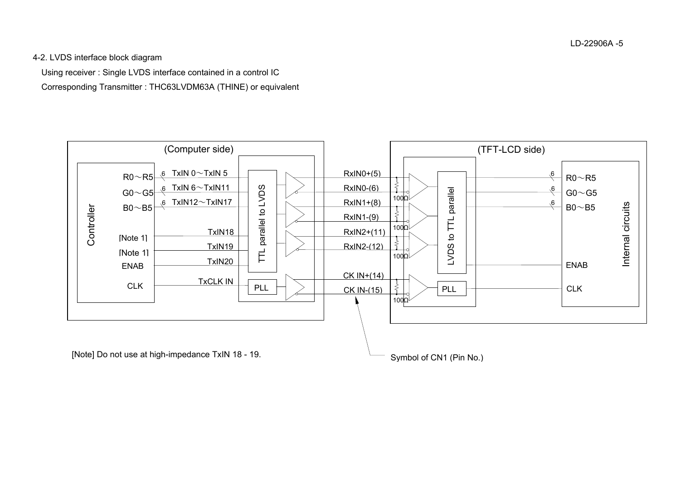4-2. LVDS interface block diagram

Using receiver : Single LVDS interface contained in a control IC

Corresponding Transmitter : THC63LVDM63A (THINE) or equivalent



[Note] Do not use at high-impedance TxIN 18 - 19.

Symbol of CN1 (Pin No.)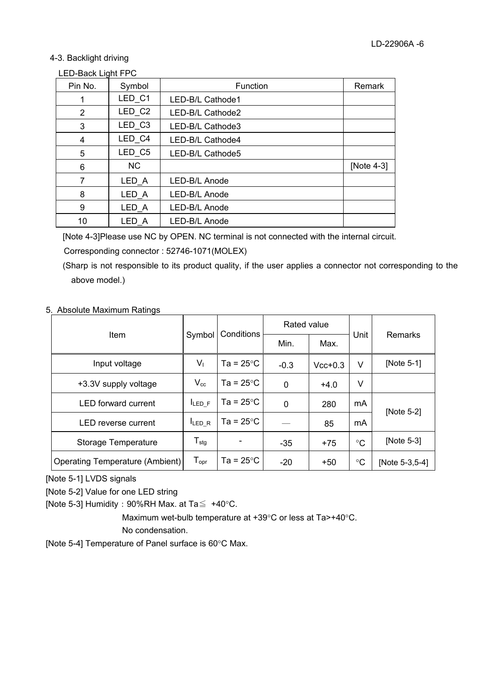#### 4-3. Backlight driving

#### LED-Back Light FPC

| Pin No. | Symbol    | Function         | Remark     |
|---------|-----------|------------------|------------|
|         | LED_C1    | LED-B/L Cathode1 |            |
| 2       | LED_C2    | LED-B/L Cathode2 |            |
| 3       | LED_C3    | LED-B/L Cathode3 |            |
| 4       | LED C4    | LED-B/L Cathode4 |            |
| 5       | LED_C5    | LED-B/L Cathode5 |            |
| 6       | <b>NC</b> |                  | [Note 4-3] |
| 7       | LED_A     | LED-B/L Anode    |            |
| 8       | LED A     | LED-B/L Anode    |            |
| 9       | LED A     | LED-B/L Anode    |            |
| 10      | LED_A     | LED-B/L Anode    |            |

[Note 4-3]Please use NC by OPEN. NC terminal is not connected with the internal circuit.

Corresponding connector : 52746-1071(MOLEX)

(Sharp is not responsible to its product quality, if the user applies a connector not corresponding to the above model.)

## 5. Absolute Maximum Ratings

|                                 |                              |                     | Rated value |           |                 |                |  |
|---------------------------------|------------------------------|---------------------|-------------|-----------|-----------------|----------------|--|
| Item                            | Symbol                       | Conditions          | Min.        | Max.      | Unit            | <b>Remarks</b> |  |
| Input voltage                   | $V_{1}$                      | Ta = $25^{\circ}$ C | $-0.3$      | $Vcc+0.3$ | V               | [Note 5-1]     |  |
| +3.3V supply voltage            | $\mathsf{V}_{\mathrm{cc}}$   | Ta = 25 $\degree$ C | 0           | $+4.0$    | V               |                |  |
| <b>LED</b> forward current      | <b>ILED F</b>                | Ta = $25^{\circ}$ C | $\mathbf 0$ | 280       | mA              | [Note 5-2]     |  |
| LED reverse current             | LED_R                        | Ta = 25 $\degree$ C |             | 85        | mA              |                |  |
| Storage Temperature             | ${\mathsf T}_{\textsf{stg}}$ |                     | $-35$       | $+75$     | $^{\circ}C$     | [Note 5-3]     |  |
| Operating Temperature (Ambient) | $T_{\text{opr}}$             | Ta = $25^{\circ}$ C | -20         | $+50$     | $\rm ^{\circ}C$ | [Note 5-3,5-4] |  |

[Note 5-1] LVDS signals

[Note 5-2] Value for one LED string

[Note 5-3] Humidity : 90%RH Max. at Ta $\leq$  +40°C.

Maximum wet-bulb temperature at  $+39^{\circ}C$  or less at Ta>+40 $^{\circ}C$ . No condensation.

[Note 5-4] Temperature of Panel surface is  $60^{\circ}$ C Max.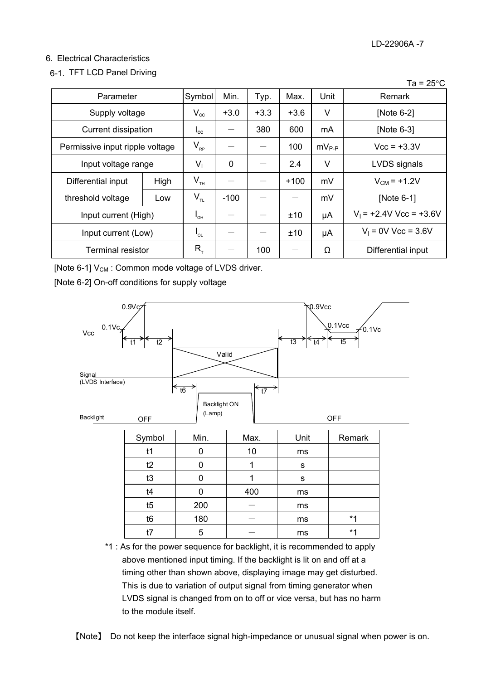## 6. Electrical Characteristics

## 6-1. TFT LCD Panel Driving

|                          |                                 |                 |             |        |        |            | . .<br>້∼                 |
|--------------------------|---------------------------------|-----------------|-------------|--------|--------|------------|---------------------------|
| Parameter                |                                 | Symbol          | Min.        | Typ.   | Max.   | Unit       | Remark                    |
| Supply voltage           |                                 | $V_{cc}$        | $+3.0$      | $+3.3$ | $+3.6$ | V          | [Note 6-2]                |
| Current dissipation      |                                 | $I_{\rm cc}$    |             | 380    | 600    | mA         | [Note 6-3]                |
|                          | Permissive input ripple voltage |                 |             |        | 100    | $mV_{P-P}$ | $Vcc = +3.3V$             |
| Input voltage range      |                                 | V <sub>1</sub>  | $\mathbf 0$ |        | 2.4    | V          | LVDS signals              |
| Differential input       | High                            | $V_{\tau H}$    |             |        | $+100$ | mV         | $V_{CM}$ = +1.2V          |
| threshold voltage        | Low                             | $V_{\tau_L}$    | $-100$      |        |        | mV         | [Note 6-1]                |
| Input current (High)     |                                 | $I_{\text{OH}}$ |             |        | ±10    | μA         | $V_1$ = +2.4V Vcc = +3.6V |
| Input current (Low)      |                                 | $I_{OL}$        |             |        | ±10    | μA         | $V_1 = 0V$ Vcc = 3.6V     |
| <b>Terminal resistor</b> |                                 | $R_{T}$         |             | 100    |        | Ω          | Differential input        |

[Note 6-1]  $V_{CM}$  : Common mode voltage of LVDS driver.

[Note 6-2] On-off conditions for supply voltage



\*1 : As for the power sequence for backlight, it is recommended to apply above mentioned input timing. If the backlight is lit on and off at a timing other than shown above, displaying image may get disturbed. This is due to variation of output signal from timing generator when LVDS signal is changed from on to off or vice versa, but has no harm to the module itself.



#### $Ta = 25^{\circ}C$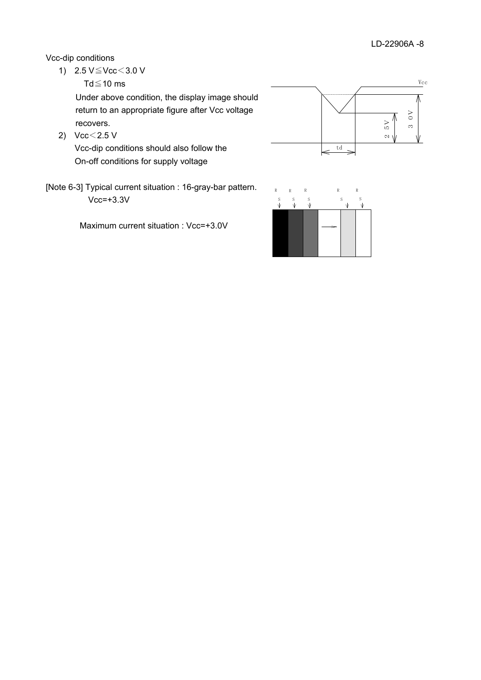Vcc-dip conditions

1)  $2.5 \text{ V} \leq \text{Vcc} < 3.0 \text{ V}$ 

Td $\leq$ 10 ms

Under above condition, the display image should return to an appropriate figure after Vcc voltage recovers.

2)  $Vcc < 2.5 V$ 

Vcc-dip conditions should also follow the On-off conditions for supply voltage

[Note 6-3] Typical current situation : 16-gray-bar pattern.  $Vcc=+3.3V$ 

Maximum current situation : Vcc=+3.0V



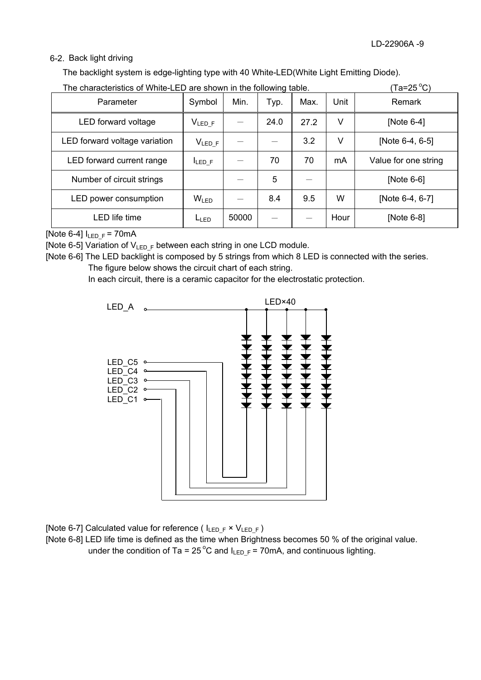## 6-2. Back light driving

The backlight system is edge-lighting type with 40 White-LED(White Light Emitting Diode).

| The characteristics of White-LED are shown in the following table. |                  |       |      |      |      | (Ta=25 °C)           |
|--------------------------------------------------------------------|------------------|-------|------|------|------|----------------------|
| Parameter                                                          | Symbol           | Min.  | Typ. | Max. | Unit | Remark               |
| LED forward voltage                                                | $V_{LED_F}$      |       | 24.0 | 27.2 | ٧    | [Note $6-4$ ]        |
| LED forward voltage variation                                      | $V_{LED_F}$      |       |      | 3.2  | v    | [Note 6-4, 6-5]      |
| LED forward current range                                          | <b>ILED F</b>    |       | 70   | 70   | mA   | Value for one string |
| Number of circuit strings                                          |                  |       | 5    |      |      | [Note 6-6]           |
| LED power consumption                                              | W <sub>LED</sub> |       | 8.4  | 9.5  | W    | [Note 6-4, 6-7]      |
| <b>LED</b> life time                                               | LLED             | 50000 |      |      | Hour | [Note 6-8]           |

[Note 6-4]  $I_{LEDF} = 70mA$ 

[Note 6-5] Variation of  $V_{LEDF}$  between each string in one LCD module.

[Note 6-6] The LED backlight is composed by 5 strings from which 8 LED is connected with the series. The figure below shows the circuit chart of each string.

In each circuit, there is a ceramic capacitor for the electrostatic protection.



[Note 6-7] Calculated value for reference ( $I_{LED_F} \times V_{LED_F}$ )

[Note 6-8] LED life time is defined as the time when Brightness becomes 50 % of the original value. under the condition of Ta = 25<sup>°</sup>C and  $I_{LEDF}$  = 70mA, and continuous lighting.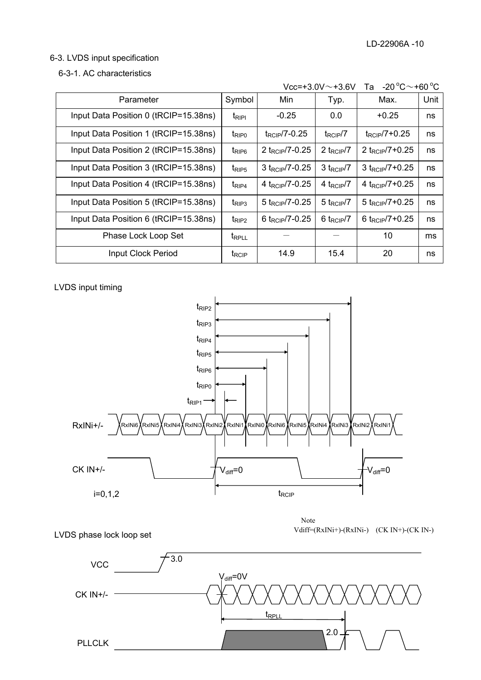## 6-3. LVDS input specification

#### 6-3-1. AC characteristics

| $-20^{\circ}$ C $\sim$ +60 $^{\circ}$ C<br>$Vcc = +3.0V \sim +3.6V$<br>Та |                   |                              |                          |                             |      |  |  |
|---------------------------------------------------------------------------|-------------------|------------------------------|--------------------------|-----------------------------|------|--|--|
| Parameter                                                                 | Symbol            | Min                          | Typ.                     | Max.                        | Unit |  |  |
| Input Data Position 0 (tRCIP=15.38ns)                                     | $t_{RIPI}$        | $-0.25$                      | 0.0                      | $+0.25$                     | ns   |  |  |
| Input Data Position 1 (tRCIP=15.38ns)                                     | $t_{\text{RIP0}}$ | $t_{\text{RCIP}}$ /7-0.25    | $t_{RCIP}/7$             | $t_{\text{RCIP}}$ /7+0.25   | ns   |  |  |
| Input Data Position 2 (tRCIP=15.38ns)                                     | $t_{RIP6}$        | 2 t <sub>RCIP</sub> /7-0.25  | 2 $t_{\text{RCIP}}/7$    | 2 t <sub>RCIP</sub> /7+0.25 | ns   |  |  |
| Input Data Position 3 (tRCIP=15.38ns)                                     | $t_{\text{RIPS}}$ | $3 t_{RCIP}$ /7-0.25         | $3 t_{RCIP}/7$           | 3 $t_{RCIP}/7 + 0.25$       | ns   |  |  |
| Input Data Position 4 (tRCIP=15.38ns)                                     | $t_{RIP4}$        | 4 $t_{\text{RCIP}}$ /7-0.25  | 4 $t_{\text{RCIP}}/7$    | 4 $t_{RCIP}/7 + 0.25$       | ns   |  |  |
| Input Data Position 5 (tRCIP=15.38ns)                                     | $t_{RIP3}$        | $5 \text{ t}_{RCIP}$ /7-0.25 | $5$ t <sub>RCIP</sub> /7 | 5 $t_{RCIP}/7 + 0.25$       | ns   |  |  |
| Input Data Position 6 (tRCIP=15.38ns)                                     | $t_{RIP2}$        | 6 t <sub>RCIP</sub> /7-0.25  | 6 $t_{\text{RCIP}}/7$    | 6 $t_{RCIP}/7 + 0.25$       | ns   |  |  |
| Phase Lock Loop Set                                                       | <b>T</b> RPLL     |                              |                          | 10                          | ms   |  |  |
| Input Clock Period                                                        | t <sub>RCIP</sub> | 14.9                         | 15.4                     | 20                          | ns   |  |  |

LVDS input timing



LVDS phase lock loop set

Note Vdiff=(RxINi+)-(RxINi-) (CK IN+)-(CK IN-)

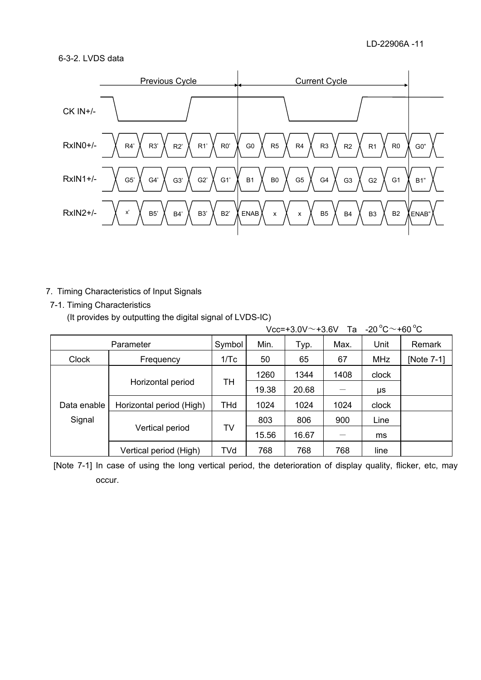## 6-3-2. LVDS data



## 7. Timing Characteristics of Input Signals

7-1. Timing Characteristics

(It provides by outputting the digital signal of LVDS-IC)

|              |                          |            |       |       |      | Vcc=+3.0V $\sim$ +3.6V Ta -20 $^{\circ}$ C $\sim$ +60 $^{\circ}$ C |            |
|--------------|--------------------------|------------|-------|-------|------|--------------------------------------------------------------------|------------|
|              | Parameter                | Symbol     | Min.  | Typ.  | Max. | Unit                                                               | Remark     |
| <b>Clock</b> | Frequency                | 1/Tc       | 50    | 65    | 67   | <b>MHz</b>                                                         | [Note 7-1] |
|              |                          |            | 1260  | 1344  | 1408 | clock                                                              |            |
|              | Horizontal period        | TH         | 19.38 | 20.68 |      | μs                                                                 |            |
| Data enable  | Horizontal period (High) | <b>THd</b> | 1024  | 1024  | 1024 | clock                                                              |            |
| Signal       |                          |            | 803   | 806   | 900  | Line                                                               |            |
|              | Vertical period          | TV         | 15.56 | 16.67 |      | ms                                                                 |            |
|              | Vertical period (High)   | TVd        | 768   | 768   | 768  | line                                                               |            |

[Note 7-1] In case of using the long vertical period, the deterioration of display quality, flicker, etc, may occur.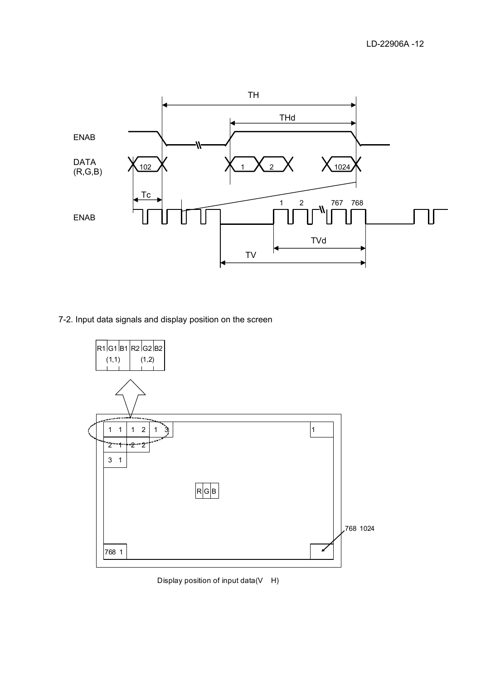

7-2. Input data signals and display position on the screen



Display position of input data(V H)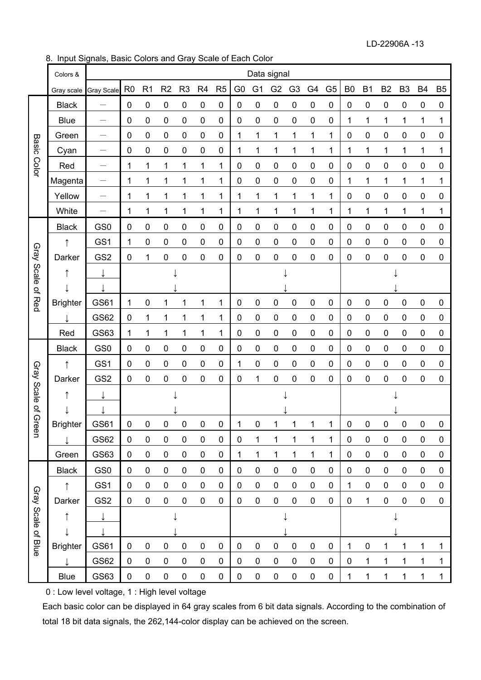LD-22906A -13

8. Input Signals, Basic Colors and Gray Scale of Each Color

|                       | Colors &              |                          |                |                  |                  |                |                |                |                  |                  | Data signal    |                |                |                |                |                  |                |                |           |                |
|-----------------------|-----------------------|--------------------------|----------------|------------------|------------------|----------------|----------------|----------------|------------------|------------------|----------------|----------------|----------------|----------------|----------------|------------------|----------------|----------------|-----------|----------------|
|                       | Gray scale Gray Scale |                          | R <sub>0</sub> | R <sub>1</sub>   | R <sub>2</sub>   | R <sub>3</sub> | R <sub>4</sub> | R <sub>5</sub> | G <sub>0</sub>   | G <sub>1</sub>   | G <sub>2</sub> | G <sub>3</sub> | G <sub>4</sub> | G <sub>5</sub> | B <sub>0</sub> | <b>B1</b>        | B <sub>2</sub> | B <sub>3</sub> | <b>B4</b> | B <sub>5</sub> |
|                       | <b>Black</b>          |                          | $\mathbf 0$    | $\pmb{0}$        | $\mathbf 0$      | $\pmb{0}$      | $\pmb{0}$      | 0              | $\mathbf 0$      | $\pmb{0}$        | 0              | 0              | $\pmb{0}$      | $\pmb{0}$      | $\pmb{0}$      | $\mathbf 0$      | $\pmb{0}$      | 0              | $\pmb{0}$ | 0              |
|                       | <b>Blue</b>           |                          | $\mathbf 0$    | 0                | 0                | $\pmb{0}$      | $\pmb{0}$      | 0              | $\mathbf 0$      | $\pmb{0}$        | 0              | 0              | $\pmb{0}$      | $\pmb{0}$      | 1              | 1                | 1              | 1              | 1         | 1              |
|                       | Green                 | $\qquad \qquad -$        | $\mathbf 0$    | $\mathbf 0$      | 0                | $\pmb{0}$      | $\pmb{0}$      | 0              | 1                | 1                | 1              | 1              | 1              | 1              | $\pmb{0}$      | 0                | $\pmb{0}$      | 0              | $\pmb{0}$ | 0              |
| <b>Basic Color</b>    | Cyan                  |                          | 0              | 0                | 0                | 0              | 0              | 0              | 1                | 1                | 1              | 1              | 1              | 1              | 1              | 1                | 1              | 1              | 1         | 1              |
|                       | Red                   |                          | 1              | 1                | 1                | 1              | 1              | 1              | 0                | 0                | 0              | 0              | 0              | 0              | 0              | 0                | 0              | 0              | 0         | 0              |
|                       | Magenta               | $\overline{\phantom{0}}$ | 1              | 1                | 1                | 1              | 1              | 1              | $\mathbf 0$      | 0                | 0              | 0              | 0              | 0              | 1              | 1                | 1              | 1              | 1         | 1              |
|                       | Yellow                | $\qquad \qquad -$        | 1              | 1                | 1                | 1              | 1              | 1              | 1                | 1                | 1              | 1              | 1              | 1              | $\pmb{0}$      | 0                | $\pmb{0}$      | 0              | $\pmb{0}$ | 0              |
|                       | White                 |                          | 1              | 1                | 1                | 1              | 1              | 1              | 1                | 1                | 1              | 1              | 1              | 1              | 1              | 1                | 1              | 1              | 1         | 1              |
|                       | <b>Black</b>          | GS <sub>0</sub>          | $\pmb{0}$      | $\pmb{0}$        | $\pmb{0}$        | $\pmb{0}$      | $\pmb{0}$      | $\pmb{0}$      | $\boldsymbol{0}$ | $\pmb{0}$        | 0              | $\pmb{0}$      | $\pmb{0}$      | $\pmb{0}$      | $\pmb{0}$      | $\pmb{0}$        | $\pmb{0}$      | $\pmb{0}$      | 0         | 0              |
|                       | ↑                     | GS1                      | 1              | 0                | $\pmb{0}$        | 0              | 0              | $\pmb{0}$      | 0                | $\pmb{0}$        | 0              | 0              | $\pmb{0}$      | 0              | $\pmb{0}$      | $\boldsymbol{0}$ | $\pmb{0}$      | 0              | 0         | 0              |
|                       | Darker                | GS <sub>2</sub>          | 0              | 1                | $\pmb{0}$        | 0              | 0              | 0              | 0                | 0                | 0              | 0              | 0              | 0              | 0              | 0                | 0              | 0              | 0         | 0              |
|                       | ↑                     | ↓                        |                |                  |                  |                |                |                |                  |                  |                |                |                |                |                |                  |                |                |           |                |
| Gray Scale of Red     |                       |                          |                |                  |                  |                |                |                |                  |                  |                |                |                |                |                |                  |                |                |           |                |
|                       | <b>Brighter</b>       | GS61                     | 1              | $\pmb{0}$        | 1                | 1              | 1              | 1              | 0                | 0                | 0              | 0              | $\pmb{0}$      | 0              | 0              | $\pmb{0}$        | 0              | 0              | 0         | 0              |
|                       |                       | GS62                     | 0              | 1                | 1                | 1              | 1              | 1              | 0                | $\pmb{0}$        | 0              | $\pmb{0}$      | $\pmb{0}$      | 0              | $\pmb{0}$      | $\boldsymbol{0}$ | $\pmb{0}$      | 0              | $\pmb{0}$ | 0              |
|                       | Red                   | GS63                     | 1              | 1                | 1                | 1              | 1              | 1              | $\mathbf 0$      | $\pmb{0}$        | 0              | $\pmb{0}$      | $\pmb{0}$      | $\pmb{0}$      | $\pmb{0}$      | $\pmb{0}$        | $\pmb{0}$      | 0              | $\pmb{0}$ | 0              |
|                       | <b>Black</b>          | GS <sub>0</sub>          | $\pmb{0}$      | $\pmb{0}$        | $\boldsymbol{0}$ | 0              | $\pmb{0}$      | $\pmb{0}$      | $\mathbf 0$      | $\pmb{0}$        | 0              | $\pmb{0}$      | $\pmb{0}$      | 0              | $\pmb{0}$      | $\boldsymbol{0}$ | $\pmb{0}$      | 0              | $\pmb{0}$ | 0              |
|                       | ↑                     | GS <sub>1</sub>          | 0              | 0                | 0                | 0              | 0              | $\pmb{0}$      | 1                | 0                | 0              | 0              | 0              | 0              | $\mathbf 0$    | 0                | $\pmb{0}$      | 0              | 0         | 0              |
|                       | Darker                | GS <sub>2</sub>          | 0              | $\pmb{0}$        | $\pmb{0}$        | 0              | 0              | 0              | 0                | 1                | 0              | 0              | 0              | 0              | 0              | 0                | $\pmb{0}$      | 0              | 0         | 0              |
|                       | ↑                     |                          |                |                  |                  |                |                |                |                  |                  |                |                |                |                |                |                  |                |                |           |                |
| Gray Scale of Green   |                       |                          |                |                  |                  |                |                |                |                  |                  |                |                |                |                |                |                  |                |                |           |                |
|                       | <b>Brighter</b>       | GS61                     | $\pmb{0}$      | $\pmb{0}$        | 0                | $\pmb{0}$      | $\pmb{0}$      | $\pmb{0}$      | 1                | $\pmb{0}$        | 1              | 1              | $\overline{1}$ | $\mathbf 1$    | $\mathbf{0}$   | $\pmb{0}$        | 0              | $\mathbf 0$    | $\pmb{0}$ | $\mathbf 0$    |
|                       |                       | GS62                     | $\mathbf 0$    | $\pmb{0}$        | $\pmb{0}$        | $\pmb{0}$      | $\pmb{0}$      | $\pmb{0}$      | $\boldsymbol{0}$ | 1                | 1              | 1              | 1              | 1              | $\pmb{0}$      | $\pmb{0}$        | $\pmb{0}$      | $\pmb{0}$      | 0         | 0              |
|                       | Green                 | GS63                     | $\mathbf 0$    | $\pmb{0}$        | $\boldsymbol{0}$ | $\pmb{0}$      | $\pmb{0}$      | $\pmb{0}$      | 1                | 1                | 1              | 1              | 1              | 1              | $\pmb{0}$      | $\pmb{0}$        | $\mathbf 0$    | 0              | $\pmb{0}$ | $\pmb{0}$      |
|                       | <b>Black</b>          | GS <sub>0</sub>          | 0              | $\pmb{0}$        | $\pmb{0}$        | $\pmb{0}$      | 0              | $\pmb{0}$      | $\mathbf 0$      | $\boldsymbol{0}$ | 0              | $\pmb{0}$      | $\pmb{0}$      | $\pmb{0}$      | $\mathbf 0$    | $\boldsymbol{0}$ | $\pmb{0}$      | 0              | 0         | 0              |
| Gray<br>Scale of Blue |                       | GS1                      | 0              | $\boldsymbol{0}$ | $\boldsymbol{0}$ | $\pmb{0}$      | 0              | $\pmb{0}$      | $\mathbf 0$      | $\pmb{0}$        | $\pmb{0}$      | $\pmb{0}$      | $\pmb{0}$      | 0              | 1              | $\mathbf 0$      | $\pmb{0}$      | 0              | $\pmb{0}$ | 0              |
|                       | Darker                | GS <sub>2</sub>          | $\mathbf 0$    | $\boldsymbol{0}$ | $\pmb{0}$        | $\pmb{0}$      | $\mathbf 0$    | $\pmb{0}$      | $\pmb{0}$        | $\pmb{0}$        | $\pmb{0}$      | $\pmb{0}$      | $\pmb{0}$      | $\mathbf 0$    | $\mathbf 0$    | 1                | $\pmb{0}$      | 0              | $\pmb{0}$ | 0              |
|                       |                       |                          |                |                  |                  |                |                |                |                  |                  |                |                |                |                |                |                  |                |                |           |                |
|                       |                       |                          |                |                  |                  |                |                |                |                  |                  |                |                |                |                |                |                  |                |                |           |                |
|                       | <b>Brighter</b>       | GS61                     | 0              | $\pmb{0}$        | $\boldsymbol{0}$ | $\mathbf 0$    | $\pmb{0}$      | $\pmb{0}$      | 0                | $\pmb{0}$        | 0              | 0              | 0              | 0              | 1              | $\pmb{0}$        | 1              |                | 1         | 1              |
|                       |                       | GS62                     | $\mathbf 0$    | $\pmb{0}$        | $\pmb{0}$        | $\pmb{0}$      | $\mathbf 0$    | $\pmb{0}$      | $\mathbf 0$      | $\pmb{0}$        | $\pmb{0}$      | $\pmb{0}$      | $\pmb{0}$      | $\pmb{0}$      | $\pmb{0}$      | 1                | 1              | 1              | 1         | 1              |
|                       | <b>Blue</b>           | GS63                     | 0              | $\pmb{0}$        | $\boldsymbol{0}$ | $\pmb{0}$      | $\pmb{0}$      | $\pmb{0}$      | $\pmb{0}$        | $\pmb{0}$        | $\pmb{0}$      | $\pmb{0}$      | $\pmb{0}$      | $\pmb{0}$      | 1              | 1                | 1              | 1              | 1         | $\mathbf{1}$   |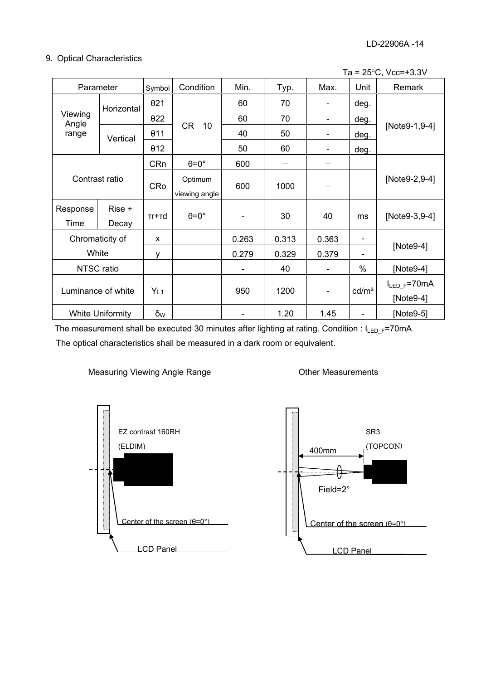## 9. Optical Characteristics

|  | Ta = $25^{\circ}$ C, Vcc=+3.3V |
|--|--------------------------------|
|--|--------------------------------|

| Parameter                |                         | Symbol          | Condition                | Min.                     | Typ.  | Max.                     | Unit                         | Remark                          |  |
|--------------------------|-------------------------|-----------------|--------------------------|--------------------------|-------|--------------------------|------------------------------|---------------------------------|--|
|                          | Horizontal              | $\theta$ 21     |                          | 60                       | 70    | $\overline{\phantom{a}}$ | deg.                         |                                 |  |
| Viewing<br>Angle         |                         | $\theta$ 22     |                          | 60                       | 70    | $\overline{\phantom{a}}$ | deg.                         |                                 |  |
| range                    | Vertical                | 011             | CR<br>10                 | 40                       | 50    | $\overline{\phantom{a}}$ | deg.                         | [Note9-1,9-4]                   |  |
|                          |                         | 012             |                          | 50                       | 60    | $\overline{\phantom{a}}$ | deg.                         |                                 |  |
| Contrast ratio           |                         | <b>CRn</b>      | $\theta = 0^\circ$       | 600                      |       |                          |                              |                                 |  |
|                          |                         | <b>CRo</b>      | Optimum<br>viewing angle | 600                      | 1000  |                          |                              | [Note9-2,9-4]                   |  |
| Response<br>Time         | Rise +<br>Decay         | $Tr+rd$         | $\theta = 0^\circ$       | -                        | 30    | 40                       | ms                           | [Note9-3,9-4]                   |  |
| Chromaticity of<br>White |                         | X               |                          | 0.263                    | 0.313 | 0.363                    | $\qquad \qquad \blacksquare$ |                                 |  |
|                          |                         | y               |                          | 0.279                    | 0.329 | 0.379                    | $\qquad \qquad \blacksquare$ | [Note9-4]                       |  |
| NTSC ratio               |                         |                 |                          | $\overline{\phantom{0}}$ | 40    | $\overline{\phantom{a}}$ | $\frac{0}{0}$                | [Note9-4]                       |  |
| Luminance of white       |                         | Y <sub>L1</sub> |                          | 950                      | 1200  | $\overline{\phantom{a}}$ | cd/m <sup>2</sup>            | $I_{LED_F} = 70mA$<br>[Note9-4] |  |
|                          | <b>White Uniformity</b> | δ <sub>w</sub>  |                          | $\overline{\phantom{a}}$ | 1.20  | 1.45                     | $\overline{\phantom{a}}$     | [Note9-5]                       |  |

The measurement shall be executed 30 minutes after lighting at rating. Condition :  $I_{LED_F}$ =70mA The optical characteristics shall be measured in a dark room or equivalent.

#### Measuring Viewing Angle Range

Other Measurements



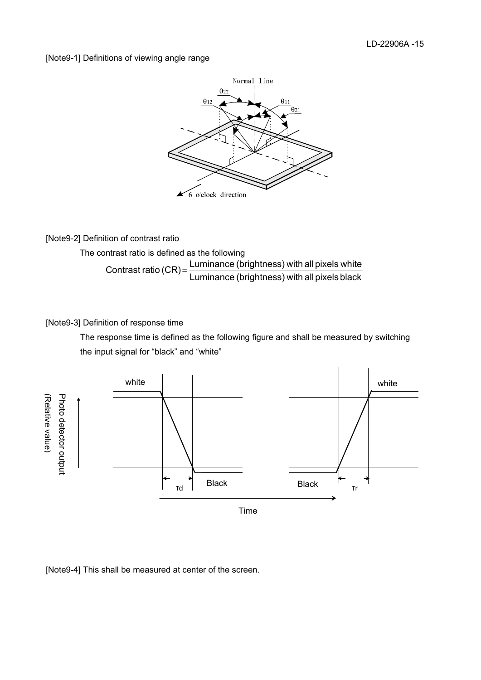#### [Note9-1] Definitions of viewing angle range



[Note9-2] Definition of contrast ratio

The contrast ratio is defined as the following Luminance (brightness) with all pixels black Contrast ratio  $(CR) = \frac{\text{Luminance (brightness) with all pixels white}}{\text{Lattice (cR)}}$ 

## [Note9-3] Definition of response time

The response time is defined as the following figure and shall be measured by switching the input signal for "black" and "white"



[Note9-4] This shall be measured at center of the screen.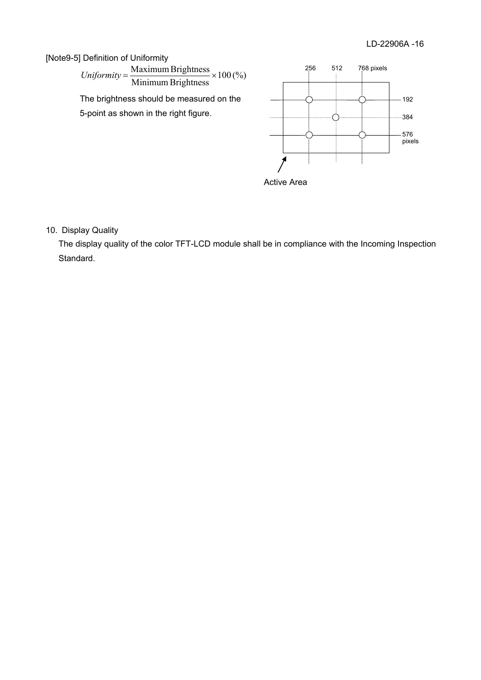## [Note9-5] Definition of Uniformity

 $Uniformity = \frac{Maximum~Brighness}{Minimum~Brightness} \times 100\,(%)$ 

The brightness should be measured on the 5-point as shown in the right figure.



10. Display Quality

The display quality of the color TFT-LCD module shall be in compliance with the Incoming Inspection Standard.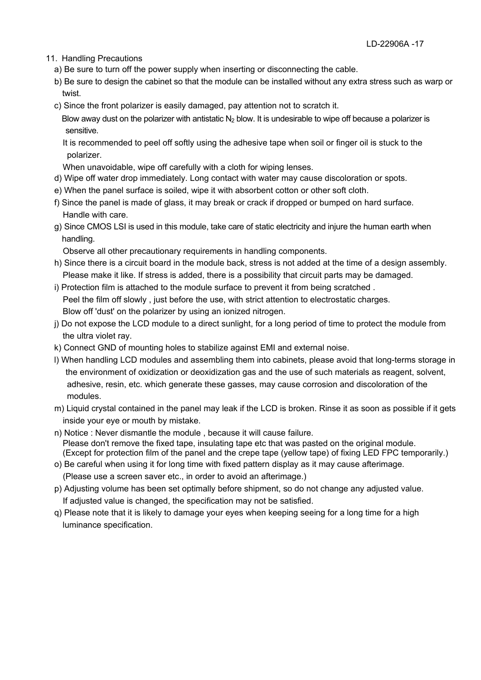- 11. Handling Precautions
	- a) Be sure to turn off the power supply when inserting or disconnecting the cable.
	- b) Be sure to design the cabinet so that the module can be installed without any extra stress such as warp or twist.
	- c) Since the front polarizer is easily damaged, pay attention not to scratch it.

Blow away dust on the polarizer with antistatic  $N_2$  blow. It is undesirable to wipe off because a polarizer is sensitive.

- It is recommended to peel off softly using the adhesive tape when soil or finger oil is stuck to the polarizer.
- When unavoidable, wipe off carefully with a cloth for wiping lenses.
- d) Wipe off water drop immediately. Long contact with water may cause discoloration or spots.
- e) When the panel surface is soiled, wipe it with absorbent cotton or other soft cloth.
- f) Since the panel is made of glass, it may break or crack if dropped or bumped on hard surface. Handle with care.
- g) Since CMOS LSI is used in this module, take care of static electricity and injure the human earth when handling.

Observe all other precautionary requirements in handling components.

- h) Since there is a circuit board in the module back, stress is not added at the time of a design assembly. Please make it like. If stress is added, there is a possibility that circuit parts may be damaged.
- i) Protection film is attached to the module surface to prevent it from being scratched . Peel the film off slowly , just before the use, with strict attention to electrostatic charges. Blow off 'dust' on the polarizer by using an ionized nitrogen.
- j) Do not expose the LCD module to a direct sunlight, for a long period of time to protect the module from the ultra violet ray.
- k) Connect GND of mounting holes to stabilize against EMI and external noise.
- l) When handling LCD modules and assembling them into cabinets, please avoid that long-terms storage in the environment of oxidization or deoxidization gas and the use of such materials as reagent, solvent, adhesive, resin, etc. which generate these gasses, may cause corrosion and discoloration of the modules.
- m) Liquid crystal contained in the panel may leak if the LCD is broken. Rinse it as soon as possible if it gets inside your eye or mouth by mistake.
- n) Notice : Never dismantle the module , because it will cause failure. Please don't remove the fixed tape, insulating tape etc that was pasted on the original module. (Except for protection film of the panel and the crepe tape (yellow tape) of fixing LED FPC temporarily.)
- o) Be careful when using it for long time with fixed pattern display as it may cause afterimage. (Please use a screen saver etc., in order to avoid an afterimage.)
- p) Adjusting volume has been set optimally before shipment, so do not change any adjusted value. If adjusted value is changed, the specification may not be satisfied.
- q) Please note that it is likely to damage your eyes when keeping seeing for a long time for a high luminance specification.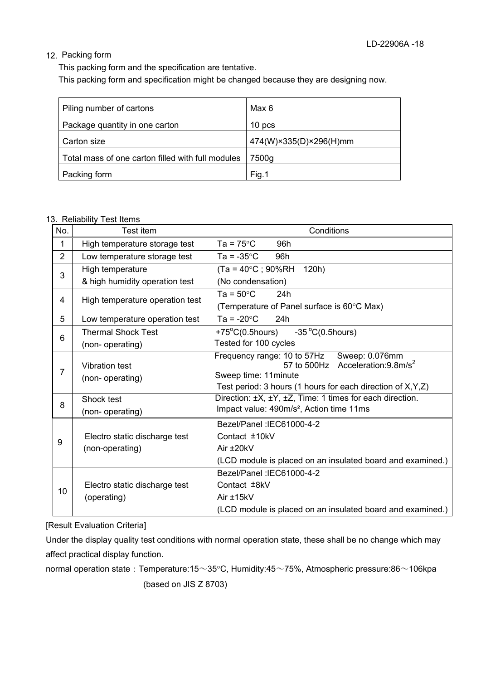#### 12. Packing form

This packing form and the specification are tentative.

This packing form and specification might be changed because they are designing now.

| Piling number of cartons                          | Max 6                  |
|---------------------------------------------------|------------------------|
| Package quantity in one carton                    | 10 pcs                 |
| Carton size                                       | 474(W)×335(D)×296(H)mm |
| Total mass of one carton filled with full modules | 7500g                  |
| Packing form                                      | Fig.1                  |

#### 13. Reliability Test Items

| No.            | Test item                       | Conditions                                                                                 |
|----------------|---------------------------------|--------------------------------------------------------------------------------------------|
| 1              | High temperature storage test   | Ta = $75^{\circ}$ C<br>96h                                                                 |
| $\overline{2}$ | Low temperature storage test    | Ta = $-35^{\circ}$ C<br>96h                                                                |
| 3              | High temperature                | $(Ta = 40^{\circ}C$ ; 90%RH<br>120h)                                                       |
|                | & high humidity operation test  | (No condensation)                                                                          |
| 4              | High temperature operation test | Ta = $50^{\circ}$ C<br>24h                                                                 |
|                |                                 | (Temperature of Panel surface is 60°C Max)                                                 |
| 5              | Low temperature operation test  | Ta = $-20^{\circ}$ C<br>24h                                                                |
| 6              | <b>Thermal Shock Test</b>       | +75 $^{\circ}$ C(0.5hours) -35 $^{\circ}$ C(0.5hours)                                      |
|                | (non-operating)                 | Tested for 100 cycles                                                                      |
|                | <b>Vibration test</b>           | Frequency range: 10 to 57Hz Sweep: 0.076mm<br>57 to 500Hz Acceleration:9.8m/s <sup>2</sup> |
| $\overline{7}$ | (non-operating)                 | Sweep time: 11 minute                                                                      |
|                |                                 | Test period: 3 hours (1 hours for each direction of X, Y, Z)                               |
| 8              | Shock test                      | Direction: ±X, ±Y, ±Z, Time: 1 times for each direction.                                   |
|                | (non-operating)                 | Impact value: 490m/s <sup>2</sup> , Action time 11ms                                       |
|                |                                 | Bezel/Panel: IEC61000-4-2                                                                  |
| 9              | Electro static discharge test   | Contact ±10kV                                                                              |
|                | (non-operating)                 | Air $±20kV$                                                                                |
|                |                                 | (LCD module is placed on an insulated board and examined.)                                 |
|                |                                 | Bezel/Panel: IEC61000-4-2                                                                  |
| 10             | Electro static discharge test   | Contact ±8kV                                                                               |
|                | (operating)                     | Air ±15kV                                                                                  |
|                |                                 | (LCD module is placed on an insulated board and examined.)                                 |

[Result Evaluation Criteria]

Under the display quality test conditions with normal operation state, these shall be no change which may affect practical display function.

normal operation state : Temperature:15~35°C, Humidity:45~75%, Atmospheric pressure:86~106kpa (based on JIS Z 8703)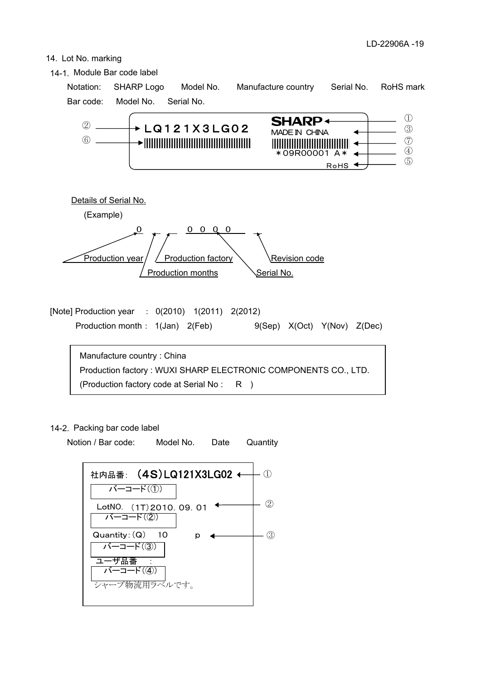#### 14. Lot No. marking



#### 14-2. Packing bar code label

Notion / Bar code: Model No. Date **Quantity** 

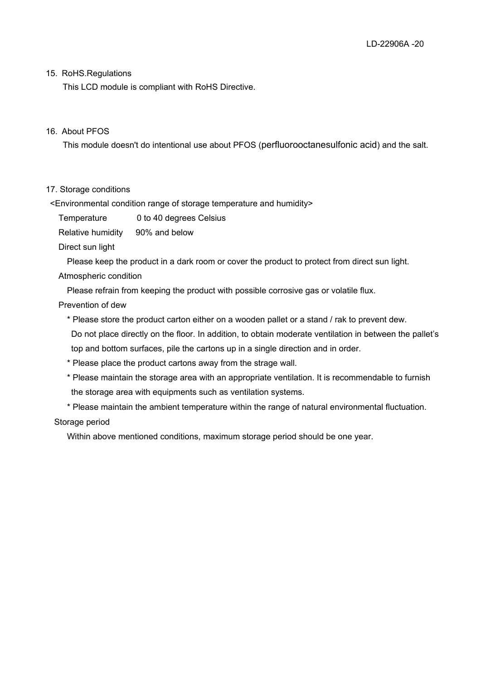#### 15. RoHS.Regulations

This LCD module is compliant with RoHS Directive.

#### 16. About PFOS

This module doesn't do intentional use about PFOS (perfluorooctanesulfonic acid) and the salt.

#### 17. Storage conditions

<Environmental condition range of storage temperature and humidity>

Temperature 0 to 40 degrees Celsius

Relative humidity 90% and below

Direct sun light

Please keep the product in a dark room or cover the product to protect from direct sun light.

#### Atmospheric condition

Please refrain from keeping the product with possible corrosive gas or volatile flux.

Prevention of dew

\* Please store the product carton either on a wooden pallet or a stand / rak to prevent dew.

 Do not place directly on the floor. In addition, to obtain moderate ventilation in between the pallet's top and bottom surfaces, pile the cartons up in a single direction and in order.

- \* Please place the product cartons away from the strage wall.
- \* Please maintain the storage area with an appropriate ventilation. It is recommendable to furnish the storage area with equipments such as ventilation systems.

\* Please maintain the ambient temperature within the range of natural environmental fluctuation.

#### Storage period

Within above mentioned conditions, maximum storage period should be one year.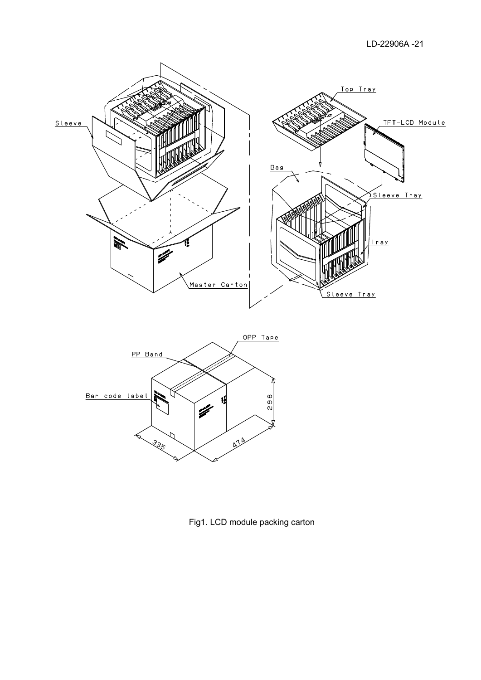LD-22906A -21



Fig1. LCD module packing carton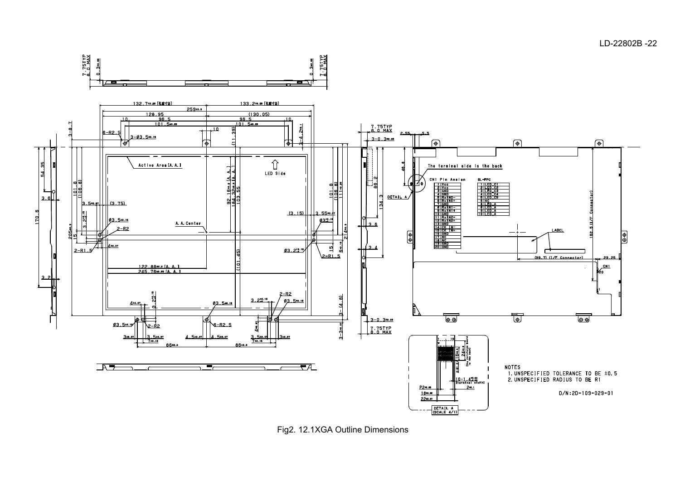

Fig2. 12.1XGA Outline Dimensions

LD-22802B -22